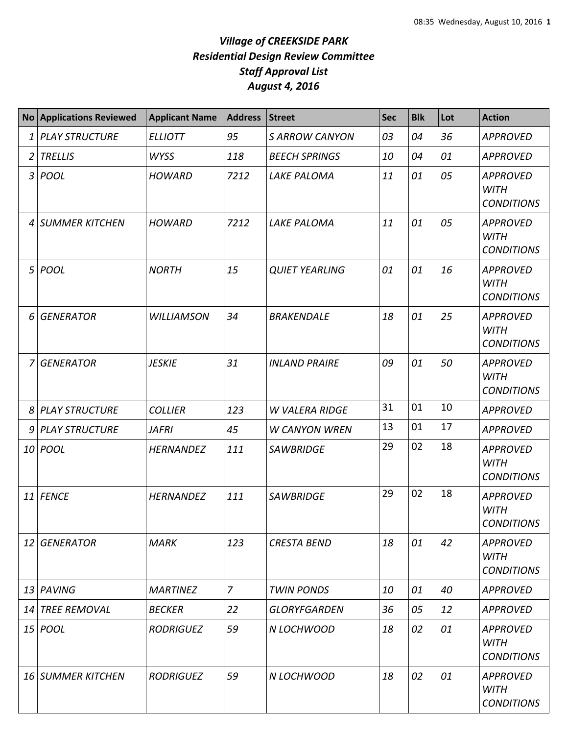|    | No Applications Reviewed | <b>Applicant Name</b> | <b>Address</b> | <b>Street</b>         | <b>Sec</b> | <b>Blk</b> | Lot | <b>Action</b>                                       |
|----|--------------------------|-----------------------|----------------|-----------------------|------------|------------|-----|-----------------------------------------------------|
|    | 1 PLAY STRUCTURE         | <b>ELLIOTT</b>        | 95             | <b>S ARROW CANYON</b> | 03         | 04         | 36  | <b>APPROVED</b>                                     |
|    | 2 TRELLIS                | <b>WYSS</b>           | 118            | <b>BEECH SPRINGS</b>  | 10         | 04         | 01  | <b>APPROVED</b>                                     |
|    | 3 POOL                   | <b>HOWARD</b>         | 7212           | <b>LAKE PALOMA</b>    | 11         | 01         | 05  | <b>APPROVED</b><br><b>WITH</b><br><b>CONDITIONS</b> |
|    | 4 SUMMER KITCHEN         | <b>HOWARD</b>         | 7212           | <b>LAKE PALOMA</b>    | 11         | 01         | 05  | <b>APPROVED</b><br><b>WITH</b><br><b>CONDITIONS</b> |
|    | 5 POOL                   | <b>NORTH</b>          | 15             | <b>QUIET YEARLING</b> | 01         | 01         | 16  | <b>APPROVED</b><br><b>WITH</b><br><b>CONDITIONS</b> |
|    | 6 GENERATOR              | <b>WILLIAMSON</b>     | 34             | <b>BRAKENDALE</b>     | 18         | 01         | 25  | <b>APPROVED</b><br><b>WITH</b><br><b>CONDITIONS</b> |
| 7  | <b>GENERATOR</b>         | <b>JESKIE</b>         | 31             | <b>INLAND PRAIRE</b>  | 09         | 01         | 50  | <b>APPROVED</b><br><b>WITH</b><br><b>CONDITIONS</b> |
|    | 8 PLAY STRUCTURE         | <b>COLLIER</b>        | 123            | <b>W VALERA RIDGE</b> | 31         | 01         | 10  | <b>APPROVED</b>                                     |
|    | 9 PLAY STRUCTURE         | <b>JAFRI</b>          | 45             | <b>W CANYON WREN</b>  | 13         | 01         | 17  | <b>APPROVED</b>                                     |
|    | 10 POOL                  | <b>HERNANDEZ</b>      | 111            | <b>SAWBRIDGE</b>      | 29         | 02         | 18  | <b>APPROVED</b><br><b>WITH</b><br><b>CONDITIONS</b> |
|    | 11 FENCE                 | <b>HERNANDEZ</b>      | 111            | <b>SAWBRIDGE</b>      | 29         | 02         | 18  | <b>APPROVED</b><br><b>WITH</b><br><b>CONDITIONS</b> |
|    | 12 GENERATOR             | <b>MARK</b>           | 123            | <b>CRESTA BEND</b>    | 18         | 01         | 42  | <b>APPROVED</b><br><b>WITH</b><br><b>CONDITIONS</b> |
|    | 13 PAVING                | <b>MARTINEZ</b>       | $\overline{z}$ | <b>TWIN PONDS</b>     | 10         | 01         | 40  | <b>APPROVED</b>                                     |
| 14 | <b>TREE REMOVAL</b>      | <b>BECKER</b>         | 22             | <b>GLORYFGARDEN</b>   | 36         | 05         | 12  | <b>APPROVED</b>                                     |
|    | 15 <i>POOL</i>           | <b>RODRIGUEZ</b>      | 59             | N LOCHWOOD            | 18         | 02         | 01  | <b>APPROVED</b><br><b>WITH</b><br><b>CONDITIONS</b> |
|    | 16 SUMMER KITCHEN        | <b>RODRIGUEZ</b>      | 59             | N LOCHWOOD            | 18         | 02         | 01  | <b>APPROVED</b><br><b>WITH</b><br><b>CONDITIONS</b> |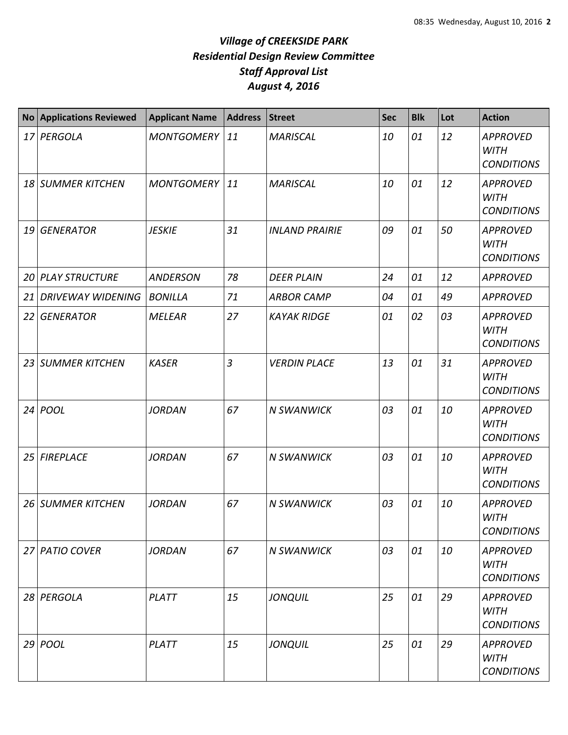|    | <b>No Applications Reviewed</b> | <b>Applicant Name</b> | <b>Address</b> | <b>Street</b>         | <b>Sec</b> | <b>Blk</b> | Lot | <b>Action</b>                                       |
|----|---------------------------------|-----------------------|----------------|-----------------------|------------|------------|-----|-----------------------------------------------------|
|    | 17 PERGOLA                      | <b>MONTGOMERY</b>     | 11             | <b>MARISCAL</b>       | 10         | 01         | 12  | <b>APPROVED</b><br><b>WITH</b><br><b>CONDITIONS</b> |
|    | 18 SUMMER KITCHEN               | <b>MONTGOMERY</b>     | 11             | <b>MARISCAL</b>       | 10         | 01         | 12  | <b>APPROVED</b><br><b>WITH</b><br><b>CONDITIONS</b> |
| 19 | <b>GENERATOR</b>                | <b>JESKIE</b>         | 31             | <b>INLAND PRAIRIE</b> | 09         | 01         | 50  | <b>APPROVED</b><br><b>WITH</b><br><b>CONDITIONS</b> |
| 20 | <b>PLAY STRUCTURE</b>           | <b>ANDERSON</b>       | 78             | <b>DEER PLAIN</b>     | 24         | 01         | 12  | <b>APPROVED</b>                                     |
| 21 | <b>DRIVEWAY WIDENING</b>        | <b>BONILLA</b>        | 71             | <b>ARBOR CAMP</b>     | 04         | 01         | 49  | <b>APPROVED</b>                                     |
| 22 | <b>GENERATOR</b>                | <b>MELEAR</b>         | 27             | <b>KAYAK RIDGE</b>    | 01         | 02         | 03  | <b>APPROVED</b><br><b>WITH</b><br><b>CONDITIONS</b> |
| 23 | <b>SUMMER KITCHEN</b>           | <b>KASER</b>          | $\overline{3}$ | <b>VERDIN PLACE</b>   | 13         | 01         | 31  | <b>APPROVED</b><br><b>WITH</b><br><b>CONDITIONS</b> |
| 24 | POOL                            | <b>JORDAN</b>         | 67             | <b>N SWANWICK</b>     | 03         | 01         | 10  | <b>APPROVED</b><br><b>WITH</b><br><b>CONDITIONS</b> |
| 25 | <b>FIREPLACE</b>                | <b>JORDAN</b>         | 67             | <b>N SWANWICK</b>     | 03         | 01         | 10  | <b>APPROVED</b><br><b>WITH</b><br><b>CONDITIONS</b> |
| 26 | <b>SUMMER KITCHEN</b>           | <b>JORDAN</b>         | 67             | <b>N SWANWICK</b>     | 03         | 01         | 10  | <b>APPROVED</b><br><b>WITH</b><br><b>CONDITIONS</b> |
|    | 27 PATIO COVER                  | <b>JORDAN</b>         | 67             | <b>N SWANWICK</b>     | 03         | 01         | 10  | <b>APPROVED</b><br><b>WITH</b><br><b>CONDITIONS</b> |
|    | 28 PERGOLA                      | PLATT                 | 15             | <b>JONQUIL</b>        | 25         | 01         | 29  | <b>APPROVED</b><br><b>WITH</b><br><b>CONDITIONS</b> |
|    | $29$ POOL                       | <b>PLATT</b>          | 15             | <b>JONQUIL</b>        | 25         | 01         | 29  | <b>APPROVED</b><br><b>WITH</b><br><b>CONDITIONS</b> |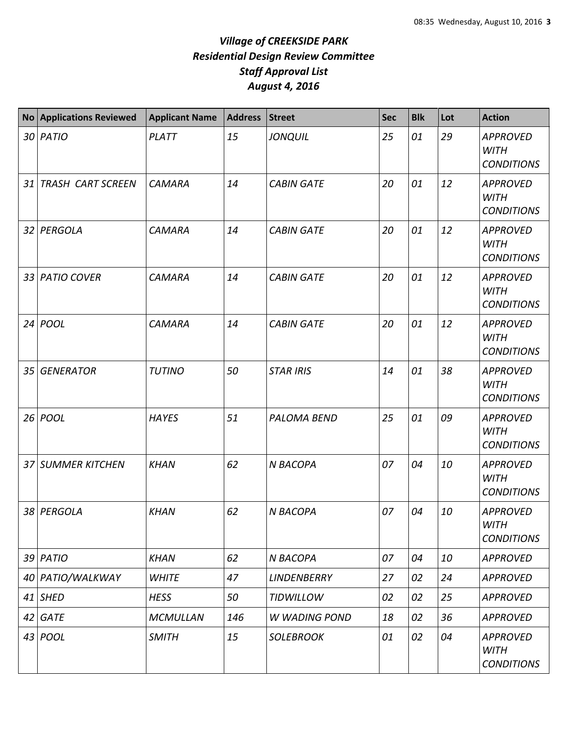|                 | No Applications Reviewed | <b>Applicant Name</b> | Address | <b>Street</b>        | <b>Sec</b> | <b>Blk</b> | Lot | <b>Action</b>                                       |
|-----------------|--------------------------|-----------------------|---------|----------------------|------------|------------|-----|-----------------------------------------------------|
|                 | 30 PATIO                 | PLATT                 | 15      | <b>JONQUIL</b>       | 25         | 01         | 29  | <b>APPROVED</b><br><b>WITH</b><br><b>CONDITIONS</b> |
| 31              | <b>TRASH CART SCREEN</b> | <b>CAMARA</b>         | 14      | <b>CABIN GATE</b>    | 20         | 01         | 12  | <b>APPROVED</b><br><b>WITH</b><br><b>CONDITIONS</b> |
|                 | 32 PERGOLA               | <b>CAMARA</b>         | 14      | <b>CABIN GATE</b>    | 20         | 01         | 12  | <b>APPROVED</b><br><b>WITH</b><br><b>CONDITIONS</b> |
| 33              | <b>PATIO COVER</b>       | <b>CAMARA</b>         | 14      | <b>CABIN GATE</b>    | 20         | 01         | 12  | <b>APPROVED</b><br><b>WITH</b><br><b>CONDITIONS</b> |
| 24              | <b>POOL</b>              | <b>CAMARA</b>         | 14      | <b>CABIN GATE</b>    | 20         | 01         | 12  | <b>APPROVED</b><br><b>WITH</b><br><b>CONDITIONS</b> |
| 35 <sup>1</sup> | <b>GENERATOR</b>         | <b>TUTINO</b>         | 50      | <b>STAR IRIS</b>     | 14         | 01         | 38  | <b>APPROVED</b><br><b>WITH</b><br><b>CONDITIONS</b> |
|                 | 26 <i>POOL</i>           | <b>HAYES</b>          | 51      | <b>PALOMA BEND</b>   | 25         | 01         | 09  | <b>APPROVED</b><br><b>WITH</b><br><b>CONDITIONS</b> |
|                 | 37 SUMMER KITCHEN        | <b>KHAN</b>           | 62      | N BACOPA             | 07         | 04         | 10  | <b>APPROVED</b><br><b>WITH</b><br><b>CONDITIONS</b> |
| 38              | PERGOLA                  | <b>KHAN</b>           | 62      | N BACOPA             | 07         | 04         | 10  | <b>APPROVED</b><br><b>WITH</b><br><b>CONDITIONS</b> |
|                 | $39$ PATIO               | <b>KHAN</b>           | 62      | N BACOPA             | 07         | 04         | 10  | <b>APPROVED</b>                                     |
|                 | 40 PATIO/WALKWAY         | <b>WHITE</b>          | 47      | <b>LINDENBERRY</b>   | 27         | 02         | 24  | <b>APPROVED</b>                                     |
|                 | 41 SHED                  | <b>HESS</b>           | 50      | <b>TIDWILLOW</b>     | 02         | 02         | 25  | <b>APPROVED</b>                                     |
|                 | $42$ GATE                | <b>MCMULLAN</b>       | 146     | <b>W WADING POND</b> | 18         | 02         | 36  | <b>APPROVED</b>                                     |
|                 | 43 POOL                  | <b>SMITH</b>          | 15      | <b>SOLEBROOK</b>     | 01         | 02         | 04  | <b>APPROVED</b><br><b>WITH</b><br><b>CONDITIONS</b> |